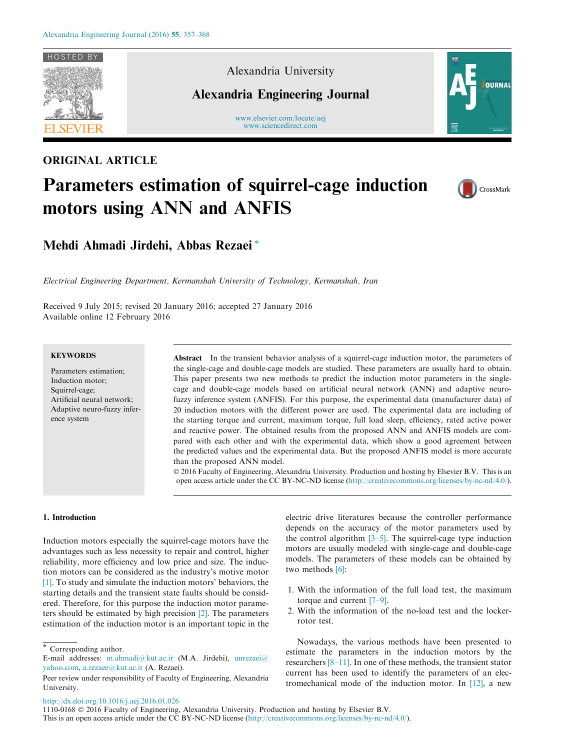

### ORIGINAL ARTICLE

Alexandria University

Alexandria Engineering Journal

www.elsevier.com/locate/aej [www.sciencedirect.com](http://www.sciencedirect.com/science/journal/11100168)



# Parameters estimation of squirrel-cage induction motors using ANN and ANFIS



Mehdi Ahmadi Jirdehi, Abbas Rezaei \*

Electrical Engineering Department, Kermanshah University of Technology, Kermanshah, Iran

Received 9 July 2015; revised 20 January 2016; accepted 27 January 2016 Available online 12 February 2016

#### **KEYWORDS**

Parameters estimation; Induction motor; Squirrel-cage; Artificial neural network; Adaptive neuro-fuzzy inference system

Abstract In the transient behavior analysis of a squirrel-cage induction motor, the parameters of the single-cage and double-cage models are studied. These parameters are usually hard to obtain. This paper presents two new methods to predict the induction motor parameters in the singlecage and double-cage models based on artificial neural network (ANN) and adaptive neurofuzzy inference system (ANFIS). For this purpose, the experimental data (manufacturer data) of 20 induction motors with the different power are used. The experimental data are including of the starting torque and current, maximum torque, full load sleep, efficiency, rated active power and reactive power. The obtained results from the proposed ANN and ANFIS models are compared with each other and with the experimental data, which show a good agreement between the predicted values and the experimental data. But the proposed ANFIS model is more accurate than the proposed ANN model.

 2016 Faculty of Engineering, Alexandria University. Production and hosting by Elsevier B.V. This is an open access article under the CC BY-NC-ND license ([http://creativecommons.org/licenses/by-nc-nd/4.0/\)](http://creativecommons.org/licenses/by-nc-nd/4.0/).

#### 1. Introduction

Induction motors especially the squirrel-cage motors have the advantages such as less necessity to repair and control, higher reliability, more efficiency and low price and size. The induction motors can be considered as the industry's motive motor [1]. To study and simulate the induction motors' behaviors, the starting details and the transient state faults should be considered. Therefore, for this purpose the induction motor parameters should be estimated by high precision [2]. The parameters estimation of the induction motor is an important topic in the electric drive literatures because the controller performance depends on the accuracy of the motor parameters used by the control algorithm  $[3-5]$ . The squirrel-cage type induction motors are usually modeled with single-cage and double-cage models. The parameters of these models can be obtained by two methods [6]:

- 1. With the information of the full load test, the maximum torque and current [7–9].
- 2. With the information of the no-load test and the lockerrotor test.

Nowadays, the various methods have been presented to estimate the parameters in the induction motors by the researchers [8–11]. In one of these methods, the transient stator current has been used to identify the parameters of an electromechanical mode of the induction motor. In [12], a new

<http://dx.doi.org/10.1016/j.aej.2016.01.026>

<sup>\*</sup> Corresponding author.

E-mail addresses: [m.ahmadi@kut.ac.ir](mailto:m.ahmadi@kut.ac.ir) (M.A. Jirdehi), [unrezaei@](mailto:unrezaei@yahoo.com) [yahoo.com,](mailto:unrezaei@yahoo.com) [a.rezaee@kut.ac.ir](mailto:a.rezaee@kut.ac.ir) (A. Rezaei).

Peer review under responsibility of Faculty of Engineering, Alexandria University.

<sup>1110-0168</sup> 2016 Faculty of Engineering, Alexandria University. Production and hosting by Elsevier B.V. This is an open access article under the CC BY-NC-ND license [\(http://creativecommons.org/licenses/by-nc-nd/4.0/](http://creativecommons.org/licenses/by-nc-nd/4.0/)).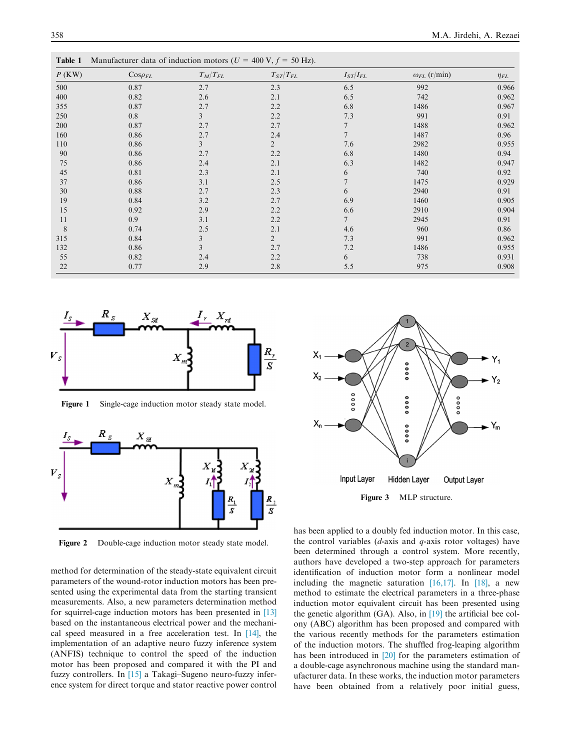| Table 1  | Manufacturer data of induction motors ( $U = 400 \text{ V}, f = 50 \text{ Hz}$ ). |                         |                   |                 |                       |             |
|----------|-----------------------------------------------------------------------------------|-------------------------|-------------------|-----------------|-----------------------|-------------|
| $P$ (KW) | $\text{Cos}\rho_{FL}$                                                             | $T_M/T_{FL}$            | $T_{ST}\!/T_{FL}$ | $I_{ST}/I_{FL}$ | $\omega_{FL}$ (r/min) | $\eta_{FL}$ |
| 500      | 0.87                                                                              | 2.7                     | 2.3               | 6.5             | 992                   | 0.966       |
| 400      | 0.82                                                                              | 2.6                     | 2.1               | 6.5             | 742                   | 0.962       |
| 355      | 0.87                                                                              | 2.7                     | 2.2               | 6.8             | 1486                  | 0.967       |
| 250      | 0.8                                                                               | 3                       | 2.2               | 7.3             | 991                   | 0.91        |
| 200      | 0.87                                                                              | 2.7                     | 2.7               |                 | 1488                  | 0.962       |
| 160      | 0.86                                                                              | 2.7                     | 2.4               |                 | 1487                  | 0.96        |
| 110      | 0.86                                                                              | $\overline{\mathbf{3}}$ | $\overline{2}$    | 7.6             | 2982                  | 0.955       |
| 90       | 0.86                                                                              | 2.7                     | 2.2               | 6.8             | 1480                  | 0.94        |
| 75       | 0.86                                                                              | 2.4                     | 2.1               | 6.3             | 1482                  | 0.947       |
| 45       | 0.81                                                                              | 2.3                     | 2.1               | 6               | 740                   | 0.92        |
| 37       | 0.86                                                                              | 3.1                     | 2.5               |                 | 1475                  | 0.929       |
| 30       | 0.88                                                                              | 2.7                     | 2.3               | 6               | 2940                  | 0.91        |
| 19       | 0.84                                                                              | 3.2                     | 2.7               | 6.9             | 1460                  | 0.905       |
| 15       | 0.92                                                                              | 2.9                     | 2.2               | 6.6             | 2910                  | 0.904       |
| 11       | 0.9                                                                               | 3.1                     | 2.2               | $\overline{7}$  | 2945                  | 0.91        |
| 8        | 0.74                                                                              | 2.5                     | 2.1               | 4.6             | 960                   | 0.86        |
| 315      | 0.84                                                                              | 3                       | $\overline{2}$    | 7.3             | 991                   | 0.962       |
| 132      | 0.86                                                                              | 3                       | 2.7               | 7.2             | 1486                  | 0.955       |
| 55       | 0.82                                                                              | 2.4                     | 2.2               | 6               | 738                   | 0.931       |
| 22       | 0.77                                                                              | 2.9                     | 2.8               | 5.5             | 975                   | 0.908       |



Figure 1 Single-cage induction motor steady state model.



Figure 2 Double-cage induction motor steady state model.

method for determination of the steady-state equivalent circuit parameters of the wound-rotor induction motors has been presented using the experimental data from the starting transient measurements. Also, a new parameters determination method for squirrel-cage induction motors has been presented in [13] based on the instantaneous electrical power and the mechanical speed measured in a free acceleration test. In [14], the implementation of an adaptive neuro fuzzy inference system (ANFIS) technique to control the speed of the induction motor has been proposed and compared it with the PI and fuzzy controllers. In [15] a Takagi–Sugeno neuro-fuzzy inference system for direct torque and stator reactive power control



has been applied to a doubly fed induction motor. In this case, the control variables  $(d\text{-axis and } q\text{-axis rotor voltages})$  have been determined through a control system. More recently, authors have developed a two-step approach for parameters identification of induction motor form a nonlinear model including the magnetic saturation [16,17]. In [18], a new method to estimate the electrical parameters in a three-phase induction motor equivalent circuit has been presented using the genetic algorithm (GA). Also, in [19] the artificial bee colony (ABC) algorithm has been proposed and compared with the various recently methods for the parameters estimation of the induction motors. The shuffled frog-leaping algorithm has been introduced in [20] for the parameters estimation of

a double-cage asynchronous machine using the standard manufacturer data. In these works, the induction motor parameters have been obtained from a relatively poor initial guess,